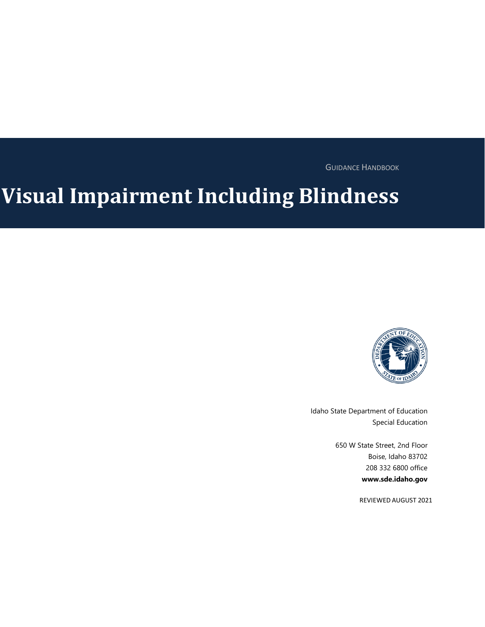GUIDANCE HANDBOOK

# **Visual Impairment Including Blindness**



Idaho State Department of Education Special Education

> 650 W State Street, 2nd Floor Boise, Idaho 83702 208 332 6800 office **www.sde.idaho.gov**

> > REVIEWED AUGUST 2021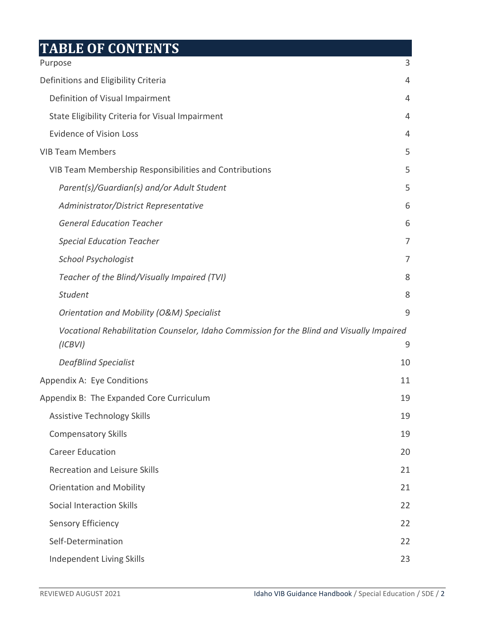# **TABLE OF CONTENTS**

| Purpose                                                                                              | 3  |
|------------------------------------------------------------------------------------------------------|----|
| Definitions and Eligibility Criteria                                                                 | 4  |
| Definition of Visual Impairment                                                                      | 4  |
| State Eligibility Criteria for Visual Impairment                                                     | 4  |
| <b>Evidence of Vision Loss</b>                                                                       | 4  |
| <b>VIB Team Members</b>                                                                              | 5  |
| VIB Team Membership Responsibilities and Contributions                                               | 5  |
| Parent(s)/Guardian(s) and/or Adult Student                                                           | 5  |
| Administrator/District Representative                                                                | 6  |
| <b>General Education Teacher</b>                                                                     | 6  |
| <b>Special Education Teacher</b>                                                                     | 7  |
| School Psychologist                                                                                  | 7  |
| Teacher of the Blind/Visually Impaired (TVI)                                                         | 8  |
| <b>Student</b>                                                                                       | 8  |
| <b>Orientation and Mobility (O&amp;M) Specialist</b>                                                 | 9  |
| Vocational Rehabilitation Counselor, Idaho Commission for the Blind and Visually Impaired<br>(ICBVI) | 9  |
| <b>DeafBlind Specialist</b>                                                                          | 10 |
| Appendix A: Eye Conditions                                                                           | 11 |
| Appendix B: The Expanded Core Curriculum                                                             | 19 |
| <b>Assistive Technology Skills</b>                                                                   | 19 |
| <b>Compensatory Skills</b>                                                                           | 19 |
| <b>Career Education</b>                                                                              | 20 |
| <b>Recreation and Leisure Skills</b>                                                                 | 21 |
| <b>Orientation and Mobility</b>                                                                      | 21 |
| <b>Social Interaction Skills</b>                                                                     | 22 |
| <b>Sensory Efficiency</b>                                                                            | 22 |
| Self-Determination                                                                                   | 22 |
| Independent Living Skills                                                                            | 23 |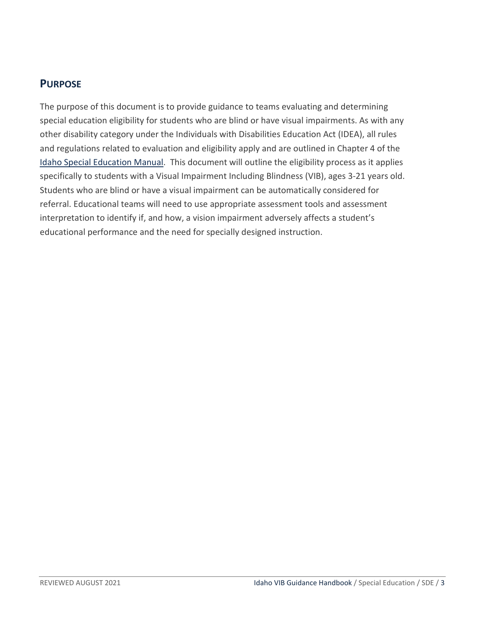# <span id="page-2-0"></span>**PURPOSE**

The purpose of this document is to provide guidance to teams evaluating and determining special education eligibility for students who are blind or have visual impairments. As with any other disability category under the Individuals with Disabilities Education Act (IDEA), all rules and regulations related to evaluation and eligibility apply and are outlined in Chapter 4 of the [Idaho Special Education Manual.](http://www.sde.idaho.gov/sped/sped-manual/) This document will outline the eligibility process as it applies specifically to students with a Visual Impairment Including Blindness (VIB), ages 3-21 years old. Students who are blind or have a visual impairment can be automatically considered for referral. Educational teams will need to use appropriate assessment tools and assessment interpretation to identify if, and how, a vision impairment adversely affects a student's educational performance and the need for specially designed instruction.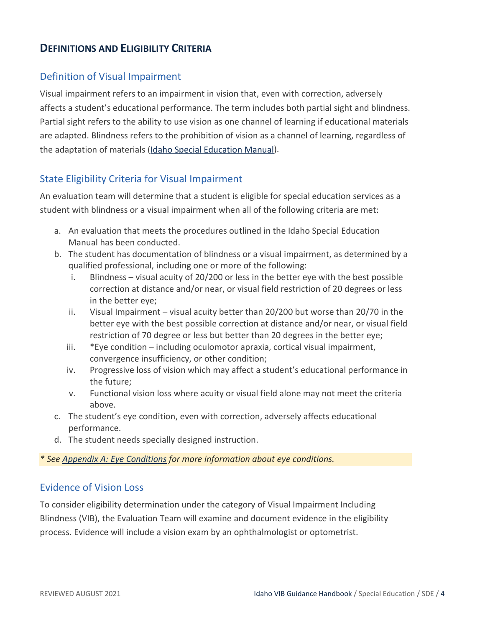# <span id="page-3-0"></span>**DEFINITIONS AND ELIGIBILITY CRITERIA**

#### <span id="page-3-1"></span>Definition of Visual Impairment

Visual impairment refers to an impairment in vision that, even with correction, adversely affects a student's educational performance. The term includes both partial sight and blindness. Partial sight refers to the ability to use vision as one channel of learning if educational materials are adapted. Blindness refers to the prohibition of vision as a channel of learning, regardless of the adaptation of materials [\(Idaho Special Education Manual\)](http://www.sde.idaho.gov/sped/sped-manual/).

#### <span id="page-3-2"></span>State Eligibility Criteria for Visual Impairment

An evaluation team will determine that a student is eligible for special education services as a student with blindness or a visual impairment when all of the following criteria are met:

- a. An evaluation that meets the procedures outlined in the Idaho Special Education Manual has been conducted.
- b. The student has documentation of blindness or a visual impairment, as determined by a qualified professional, including one or more of the following:
	- i. Blindness visual acuity of 20/200 or less in the better eye with the best possible correction at distance and/or near, or visual field restriction of 20 degrees or less in the better eye;
	- ii. Visual Impairment visual acuity better than 20/200 but worse than 20/70 in the better eye with the best possible correction at distance and/or near, or visual field restriction of 70 degree or less but better than 20 degrees in the better eye;
	- iii. \*Eye condition including oculomotor apraxia, cortical visual impairment, convergence insufficiency, or other condition;
	- iv. Progressive loss of vision which may affect a student's educational performance in the future;
	- v. Functional vision loss where acuity or visual field alone may not meet the criteria above.
- c. The student's eye condition, even with correction, adversely affects educational performance.
- d. The student needs specially designed instruction.

#### *\* See Appendix A: Eye Conditions for more information about eye conditions.*

#### <span id="page-3-3"></span>Evidence of Vision Loss

To consider eligibility determination under the category of Visual Impairment Including Blindness (VIB), the Evaluation Team will examine and document evidence in the eligibility process. Evidence will include a vision exam by an ophthalmologist or optometrist.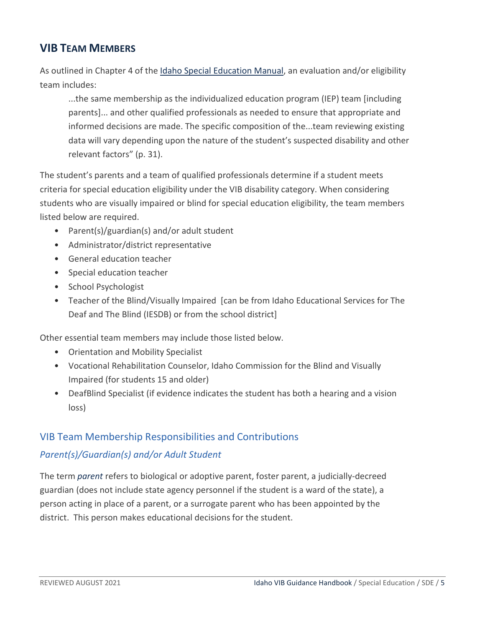# <span id="page-4-0"></span>**VIB TEAM MEMBERS**

As outlined in Chapter 4 of the [Idaho Special Education Manual,](http://www.sde.idaho.gov/sped/sped-manual/) an evaluation and/or eligibility team includes:

...the same membership as the individualized education program (IEP) team [including parents]... and other qualified professionals as needed to ensure that appropriate and informed decisions are made. The specific composition of the...team reviewing existing data will vary depending upon the nature of the student's suspected disability and other relevant factors" (p. 31).

The student's parents and a team of qualified professionals determine if a student meets criteria for special education eligibility under the VIB disability category. When considering students who are visually impaired or blind for special education eligibility, the team members listed below are required.

- Parent(s)/guardian(s) and/or adult student
- Administrator/district representative
- General education teacher
- Special education teacher
- School Psychologist
- Teacher of the Blind/Visually Impaired [can be from Idaho Educational Services for The Deaf and The Blind (IESDB) or from the school district]

Other essential team members may include those listed below.

- Orientation and Mobility Specialist
- Vocational Rehabilitation Counselor, Idaho Commission for the Blind and Visually Impaired (for students 15 and older)
- DeafBlind Specialist (if evidence indicates the student has both a hearing and a vision loss)

# <span id="page-4-1"></span>VIB Team Membership Responsibilities and Contributions

# <span id="page-4-2"></span>*Parent(s)/Guardian(s) and/or Adult Student*

The term *parent* refers to biological or adoptive parent, foster parent, a judicially-decreed guardian (does not include state agency personnel if the student is a ward of the state), a person acting in place of a parent, or a surrogate parent who has been appointed by the district. This person makes educational decisions for the student.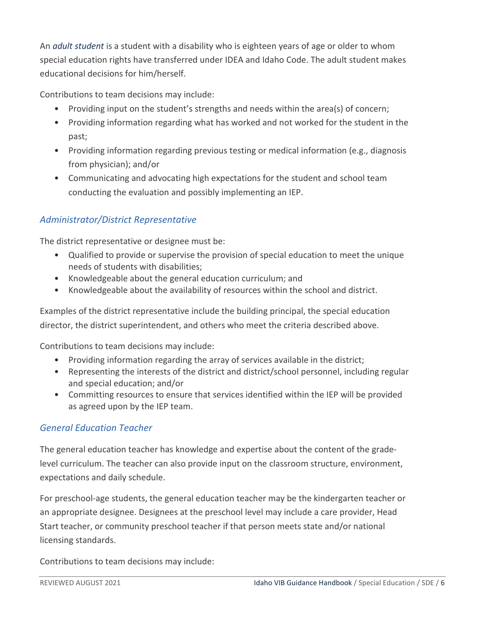An *adult student* is a student with a disability who is eighteen years of age or older to whom special education rights have transferred under IDEA and Idaho Code. The adult student makes educational decisions for him/herself.

Contributions to team decisions may include:

- Providing input on the student's strengths and needs within the area(s) of concern;
- Providing information regarding what has worked and not worked for the student in the past;
- Providing information regarding previous testing or medical information (e.g., diagnosis from physician); and/or
- Communicating and advocating high expectations for the student and school team conducting the evaluation and possibly implementing an IEP.

# <span id="page-5-0"></span>*Administrator/District Representative*

The district representative or designee must be:

- Qualified to provide or supervise the provision of special education to meet the unique needs of students with disabilities;
- Knowledgeable about the general education curriculum; and
- Knowledgeable about the availability of resources within the school and district.

Examples of the district representative include the building principal, the special education director, the district superintendent, and others who meet the criteria described above.

Contributions to team decisions may include:

- Providing information regarding the array of services available in the district;
- Representing the interests of the district and district/school personnel, including regular and special education; and/or
- Committing resources to ensure that services identified within the IEP will be provided as agreed upon by the IEP team.

#### <span id="page-5-1"></span>*General Education Teacher*

The general education teacher has knowledge and expertise about the content of the gradelevel curriculum. The teacher can also provide input on the classroom structure, environment, expectations and daily schedule.

For preschool-age students, the general education teacher may be the kindergarten teacher or an appropriate designee. Designees at the preschool level may include a care provider, Head Start teacher, or community preschool teacher if that person meets state and/or national licensing standards.

Contributions to team decisions may include: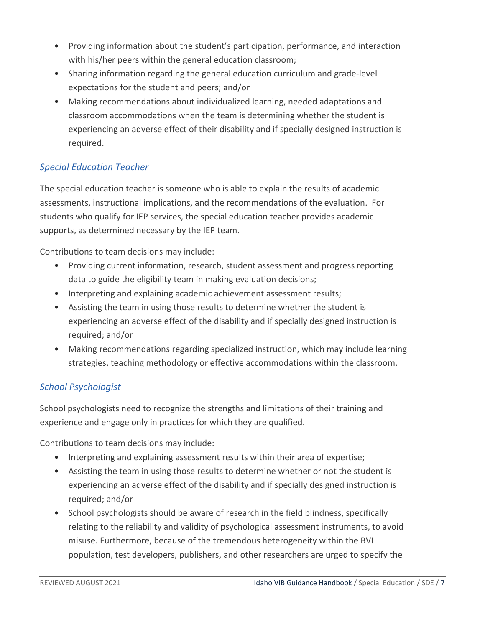- Providing information about the student's participation, performance, and interaction with his/her peers within the general education classroom;
- Sharing information regarding the general education curriculum and grade-level expectations for the student and peers; and/or
- Making recommendations about individualized learning, needed adaptations and classroom accommodations when the team is determining whether the student is experiencing an adverse effect of their disability and if specially designed instruction is required.

# <span id="page-6-0"></span>*Special Education Teacher*

The special education teacher is someone who is able to explain the results of academic assessments, instructional implications, and the recommendations of the evaluation. For students who qualify for IEP services, the special education teacher provides academic supports, as determined necessary by the IEP team.

Contributions to team decisions may include:

- Providing current information, research, student assessment and progress reporting data to guide the eligibility team in making evaluation decisions;
- Interpreting and explaining academic achievement assessment results;
- Assisting the team in using those results to determine whether the student is experiencing an adverse effect of the disability and if specially designed instruction is required; and/or
- Making recommendations regarding specialized instruction, which may include learning strategies, teaching methodology or effective accommodations within the classroom.

#### <span id="page-6-1"></span>*School Psychologist*

School psychologists need to recognize the strengths and limitations of their training and experience and engage only in practices for which they are qualified.

Contributions to team decisions may include:

- Interpreting and explaining assessment results within their area of expertise;
- Assisting the team in using those results to determine whether or not the student is experiencing an adverse effect of the disability and if specially designed instruction is required; and/or
- School psychologists should be aware of research in the field blindness, specifically relating to the reliability and validity of psychological assessment instruments, to avoid misuse. Furthermore, because of the tremendous heterogeneity within the BVI population, test developers, publishers, and other researchers are urged to specify the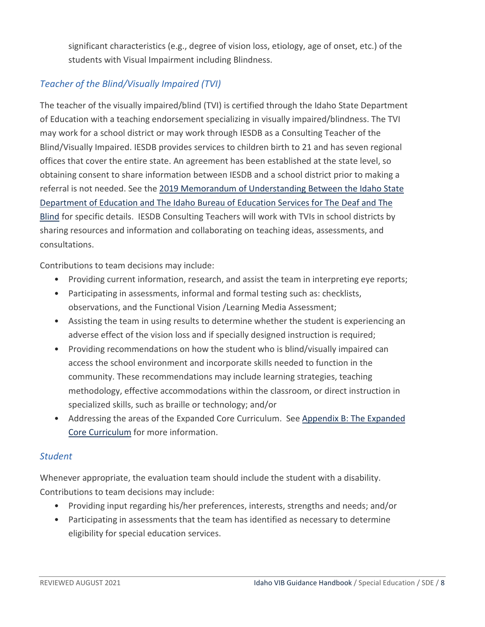significant characteristics (e.g., degree of vision loss, etiology, age of onset, etc.) of the students with Visual Impairment including Blindness.

# <span id="page-7-0"></span>*Teacher of the Blind/Visually Impaired (TVI)*

The teacher of the visually impaired/blind (TVI) is certified through the Idaho State Department of Education with a teaching endorsement specializing in visually impaired/blindness. The TVI may work for a school district or may work through IESDB as a Consulting Teacher of the Blind/Visually Impaired. IESDB provides services to children birth to 21 and has seven regional offices that cover the entire state. An agreement has been established at the state level, so obtaining consent to share information between IESDB and a school district prior to making a referral is not needed. See the [2019 Memorandum of Understanding Between the Idaho State](http://www.sde.idaho.gov/sped/public-reporting/files/interagency/2019-Memorandum-of-Understanding-MOU-IBESDB.pdf)  [Department of Education and The Idaho Bureau of Education Services for The Deaf and The](http://www.sde.idaho.gov/sped/public-reporting/files/interagency/2019-Memorandum-of-Understanding-MOU-IBESDB.pdf)  [Blind](http://www.sde.idaho.gov/sped/public-reporting/files/interagency/2019-Memorandum-of-Understanding-MOU-IBESDB.pdf) for specific details. IESDB Consulting Teachers will work with TVIs in school districts by sharing resources and information and collaborating on teaching ideas, assessments, and consultations.

Contributions to team decisions may include:

- Providing current information, research, and assist the team in interpreting eye reports;
- Participating in assessments, informal and formal testing such as: checklists, observations, and the Functional Vision /Learning Media Assessment;
- Assisting the team in using results to determine whether the student is experiencing an adverse effect of the vision loss and if specially designed instruction is required;
- Providing recommendations on how the student who is blind/visually impaired can access the school environment and incorporate skills needed to function in the community. These recommendations may include learning strategies, teaching methodology, effective accommodations within the classroom, or direct instruction in specialized skills, such as braille or technology; and/or
- Addressing the areas of the Expanded Core Curriculum. See Appendix B: The Expanded Core Curriculum for more information.

#### <span id="page-7-1"></span>*Student*

Whenever appropriate, the evaluation team should include the student with a disability. Contributions to team decisions may include:

- Providing input regarding his/her preferences, interests, strengths and needs; and/or
- Participating in assessments that the team has identified as necessary to determine eligibility for special education services.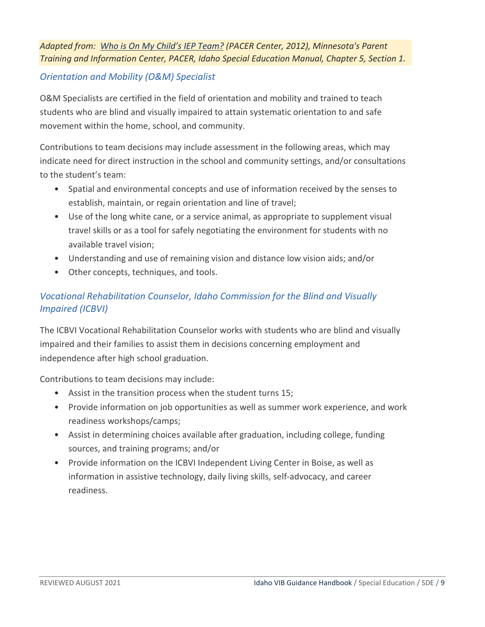# *Adapted from: [Who is On My Child's IEP Team?](https://www.pacer.org/parent/guide-to-iep/who-is-on-my-childs-iep-team.asp) (PACER Center, 2012), Minnesota's Parent Training and Information Center, PACER, Idaho Special Education Manual, Chapter 5, Section 1.*

#### <span id="page-8-0"></span>*Orientation and Mobility (O&M) Specialist*

O&M Specialists are certified in the field of orientation and mobility and trained to teach students who are blind and visually impaired to attain systematic orientation to and safe movement within the home, school, and community.

Contributions to team decisions may include assessment in the following areas, which may indicate need for direct instruction in the school and community settings, and/or consultations to the student's team:

- Spatial and environmental concepts and use of information received by the senses to establish, maintain, or regain orientation and line of travel;
- Use of the long white cane, or a service animal, as appropriate to supplement visual travel skills or as a tool for safely negotiating the environment for students with no available travel vision;
- Understanding and use of remaining vision and distance low vision aids; and/or
- Other concepts, techniques, and tools.

# <span id="page-8-1"></span>*Vocational Rehabilitation Counselor, Idaho Commission for the Blind and Visually Impaired (ICBVI)*

The ICBVI Vocational Rehabilitation Counselor works with students who are blind and visually impaired and their families to assist them in decisions concerning employment and independence after high school graduation.

Contributions to team decisions may include:

- Assist in the transition process when the student turns 15;
- Provide information on job opportunities as well as summer work experience, and work readiness workshops/camps;
- Assist in determining choices available after graduation, including college, funding sources, and training programs; and/or
- Provide information on the ICBVI Independent Living Center in Boise, as well as information in assistive technology, daily living skills, self-advocacy, and career readiness.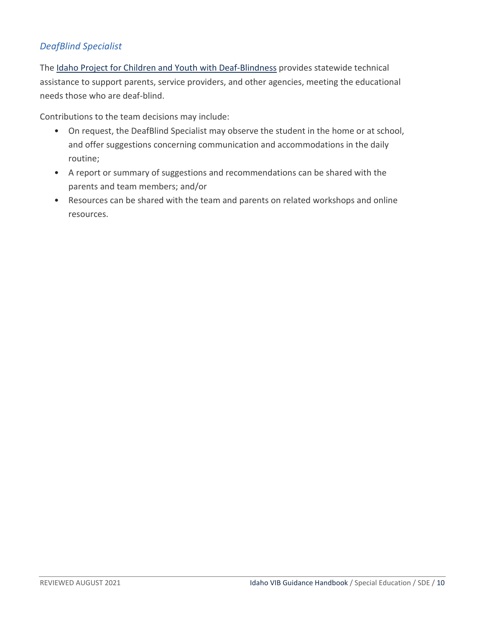#### <span id="page-9-0"></span>*DeafBlind Specialist*

The [Idaho Project for Children and Youth with Deaf-Blindness](https://idahocdhd.org/cydb/) provides statewide technical assistance to support parents, service providers, and other agencies, meeting the educational needs those who are deaf-blind.

Contributions to the team decisions may include:

- On request, the DeafBlind Specialist may observe the student in the home or at school, and offer suggestions concerning communication and accommodations in the daily routine;
- A report or summary of suggestions and recommendations can be shared with the parents and team members; and/or
- Resources can be shared with the team and parents on related workshops and online resources.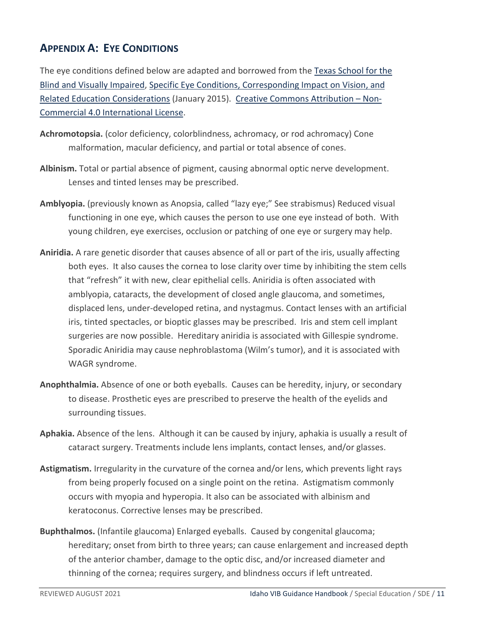# <span id="page-10-0"></span>**APPENDIX A: EYE CONDITIONS**

The eye conditions defined below are adapted and borrowed from th[e Texas School for the](https://www.tsbvi.edu/)  [Blind and Visually Impaired,](https://www.tsbvi.edu/) [Specific Eye Conditions, Corresponding Impact on Vision, and](https://www.tsbvi.edu/eye-conditions)  [Related Education Considerations](https://www.tsbvi.edu/eye-conditions) (January 2015). [Creative Commons Attribution – Non-](https://creativecommons.org/licenses/by-nc/4.0/legalcode)[Commercial 4.0 International License.](https://creativecommons.org/licenses/by-nc/4.0/legalcode)

- **Achromotopsia.** (color deficiency, colorblindness, achromacy, or rod achromacy) Cone malformation, macular deficiency, and partial or total absence of cones.
- **Albinism.** Total or partial absence of pigment, causing abnormal optic nerve development. Lenses and tinted lenses may be prescribed.
- **Amblyopia.** (previously known as Anopsia, called "lazy eye;" See strabismus) Reduced visual functioning in one eye, which causes the person to use one eye instead of both. With young children, eye exercises, occlusion or patching of one eye or surgery may help.
- **Aniridia.** A rare genetic disorder that causes absence of all or part of the iris, usually affecting both eyes.It also causes the cornea to lose clarity over time by inhibiting the stem cells that "refresh" it with new, clear epithelial cells. Aniridia is often associated with amblyopia, cataracts, the development of closed angle glaucoma, and sometimes, displaced lens, under-developed retina, and nystagmus. Contact lenses with an artificial iris, tinted spectacles, or bioptic glasses may be prescribed. Iris and stem cell implant surgeries are now possible. Hereditary aniridia is associated with Gillespie syndrome. Sporadic Aniridia may cause nephroblastoma (Wilm's tumor), and it is associated with WAGR syndrome.
- **Anophthalmia.** Absence of one or both eyeballs.Causes can be heredity, injury, or secondary to disease. Prosthetic eyes are prescribed to preserve the health of the eyelids and surrounding tissues.
- **Aphakia.** Absence of the lens. Although it can be caused by injury, aphakia is usually a result of cataract surgery. Treatments include lens implants, contact lenses, and/or glasses.
- **Astigmatism.** Irregularity in the curvature of the cornea and/or lens, which prevents light rays from being properly focused on a single point on the retina. Astigmatism commonly occurs with myopia and hyperopia. It also can be associated with albinism and keratoconus. Corrective lenses may be prescribed.
- **Buphthalmos.** (Infantile glaucoma) Enlarged eyeballs. Caused by congenital glaucoma; hereditary; onset from birth to three years; can cause enlargement and increased depth of the anterior chamber, damage to the optic disc, and/or increased diameter and thinning of the cornea; requires surgery, and blindness occurs if left untreated.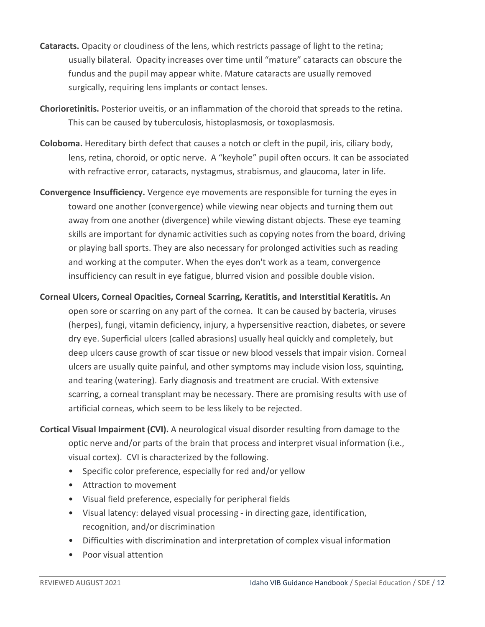- **Cataracts.** Opacity or cloudiness of the lens, which restricts passage of light to the retina; usually bilateral.Opacity increases over time until "mature" cataracts can obscure the fundus and the pupil may appear white. Mature cataracts are usually removed surgically, requiring lens implants or contact lenses.
- **Chorioretinitis.** Posterior uveitis, or an inflammation of the choroid that spreads to the retina. This can be caused by tuberculosis, histoplasmosis, or toxoplasmosis.
- **Coloboma.** Hereditary birth defect that causes a notch or cleft in the pupil, iris, ciliary body, lens, retina, choroid, or optic nerve.A "keyhole" pupil often occurs. It can be associated with refractive error, cataracts, nystagmus, strabismus, and glaucoma, later in life.
- **Convergence Insufficiency.** Vergence eye movements are responsible for turning the eyes in toward one another (convergence) while viewing near objects and turning them out away from one another (divergence) while viewing distant objects. These eye teaming skills are important for dynamic activities such as copying notes from the board, driving or playing ball sports. They are also necessary for prolonged activities such as reading and working at the computer. When the eyes don't work as a team, convergence insufficiency can result in eye fatigue, blurred vision and possible double vision.
- **Corneal Ulcers, Corneal Opacities, Corneal Scarring, Keratitis, and Interstitial Keratitis.** An open sore or scarring on any part of the cornea. It can be caused by bacteria, viruses (herpes), fungi, vitamin deficiency, injury, a hypersensitive reaction, diabetes, or severe dry eye. Superficial ulcers (called abrasions) usually heal quickly and completely, but deep ulcers cause growth of scar tissue or new blood vessels that impair vision. Corneal ulcers are usually quite painful, and other symptoms may include vision loss, squinting, and tearing (watering). Early diagnosis and treatment are crucial. With extensive scarring, a corneal transplant may be necessary. There are promising results with use of artificial corneas, which seem to be less likely to be rejected.
- **Cortical Visual Impairment (CVI).** A neurological visual disorder resulting from damage to the optic nerve and/or parts of the brain that process and interpret visual information (i.e., visual cortex). CVI is characterized by the following.
	- Specific color preference, especially for red and/or yellow
	- Attraction to movement
	- Visual field preference, especially for peripheral fields
	- Visual latency: delayed visual processing in directing gaze, identification, recognition, and/or discrimination
	- Difficulties with discrimination and interpretation of complex visual information
	- Poor visual attention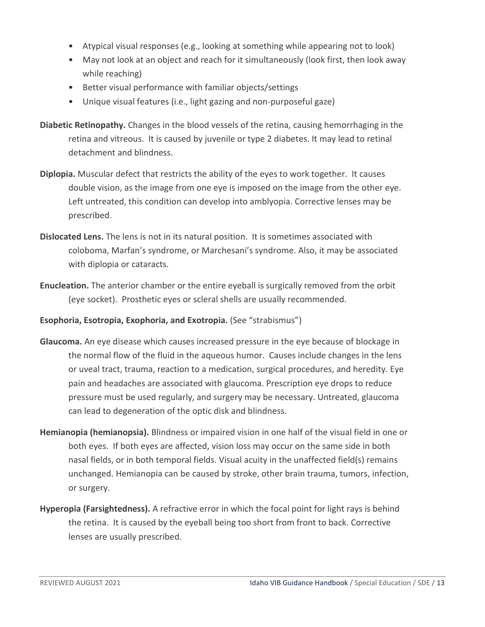- Atypical visual responses (e.g., looking at something while appearing not to look)
- May not look at an object and reach for it simultaneously (look first, then look away while reaching)
- Better visual performance with familiar objects/settings
- Unique visual features (i.e., light gazing and non-purposeful gaze)
- **Diabetic Retinopathy.** Changes in the blood vessels of the retina, causing hemorrhaging in the retina and vitreous. It is caused by juvenile or type 2 diabetes. It may lead to retinal detachment and blindness.
- **Diplopia.** Muscular defect that restricts the ability of the eyes to work together.It causes double vision, as the image from one eye is imposed on the image from the other eye. Left untreated, this condition can develop into amblyopia. Corrective lenses may be prescribed.
- **Dislocated Lens.** The lens is not in its natural position.It is sometimes associated with coloboma, Marfan's syndrome, or Marchesani's syndrome. Also, it may be associated with diplopia or cataracts.
- **Enucleation.** The anterior chamber or the entire eyeball is surgically removed from the orbit (eye socket).Prosthetic eyes or scleral shells are usually recommended.
- **Esophoria, Esotropia, Exophoria, and Exotropia.** (See "strabismus")
- **Glaucoma.** An eye disease which causes increased pressure in the eye because of blockage in the normal flow of the fluid in the aqueous humor. Causes include changes in the lens or uveal tract, trauma, reaction to a medication, surgical procedures, and heredity. Eye pain and headaches are associated with glaucoma. Prescription eye drops to reduce pressure must be used regularly, and surgery may be necessary. Untreated, glaucoma can lead to degeneration of the optic disk and blindness.
- **Hemianopia (hemianopsia).** Blindness or impaired vision in one half of the visual field in one or both eyes. If both eyes are affected, vision loss may occur on the same side in both nasal fields, or in both temporal fields. Visual acuity in the unaffected field(s) remains unchanged. Hemianopia can be caused by stroke, other brain trauma, tumors, infection, or surgery.
- **Hyperopia (Farsightedness).** A refractive error in which the focal point for light rays is behind the retina. It is caused by the eyeball being too short from front to back. Corrective lenses are usually prescribed.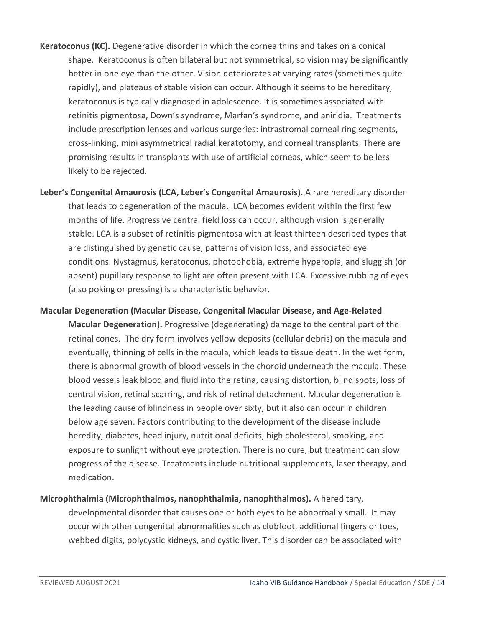- **Keratoconus (KC).** Degenerative disorder in which the cornea thins and takes on a conical shape. Keratoconus is often bilateral but not symmetrical, so vision may be significantly better in one eye than the other. Vision deteriorates at varying rates (sometimes quite rapidly), and plateaus of stable vision can occur. Although it seems to be hereditary, keratoconus is typically diagnosed in adolescence. It is sometimes associated with retinitis pigmentosa, Down's syndrome, Marfan's syndrome, and aniridia. Treatments include prescription lenses and various surgeries: intrastromal corneal ring segments, cross-linking, mini asymmetrical radial keratotomy, and corneal transplants. There are promising results in transplants with use of artificial corneas, which seem to be less likely to be rejected.
- **Leber's Congenital Amaurosis (LCA, Leber's Congenital Amaurosis).** A rare hereditary disorder that leads to degeneration of the macula. LCA becomes evident within the first few months of life. Progressive central field loss can occur, although vision is generally stable. LCA is a subset of retinitis pigmentosa with at least thirteen described types that are distinguished by genetic cause, patterns of vision loss, and associated eye conditions. Nystagmus, keratoconus, photophobia, extreme hyperopia, and sluggish (or absent) pupillary response to light are often present with LCA. Excessive rubbing of eyes (also poking or pressing) is a characteristic behavior.
- **Macular Degeneration (Macular Disease, Congenital Macular Disease, and Age-Related Macular Degeneration).** Progressive (degenerating) damage to the central part of the retinal cones. The dry form involves yellow deposits (cellular debris) on the macula and eventually, thinning of cells in the macula, which leads to tissue death. In the wet form, there is abnormal growth of blood vessels in the choroid underneath the macula. These blood vessels leak blood and fluid into the retina, causing distortion, blind spots, loss of central vision, retinal scarring, and risk of retinal detachment. Macular degeneration is the leading cause of blindness in people over sixty, but it also can occur in children below age seven. Factors contributing to the development of the disease include heredity, diabetes, head injury, nutritional deficits, high cholesterol, smoking, and exposure to sunlight without eye protection. There is no cure, but treatment can slow progress of the disease. Treatments include nutritional supplements, laser therapy, and medication.
- **Microphthalmia (Microphthalmos, nanophthalmia, nanophthalmos).** A hereditary, developmental disorder that causes one or both eyes to be abnormally small. It may occur with other congenital abnormalities such as clubfoot, additional fingers or toes, webbed digits, polycystic kidneys, and cystic liver. This disorder can be associated with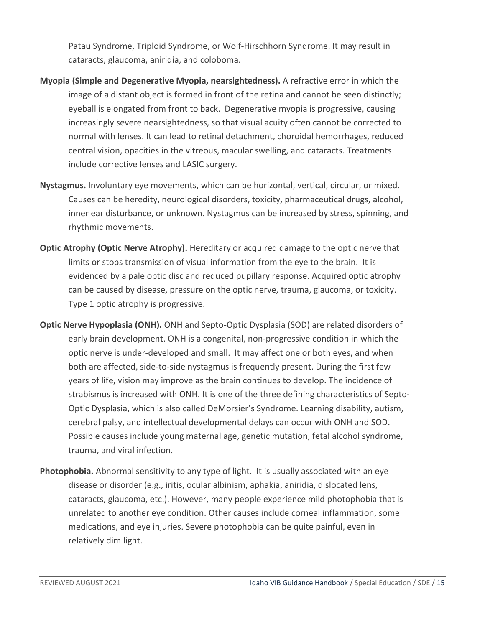Patau Syndrome, Triploid Syndrome, or Wolf-Hirschhorn Syndrome. It may result in cataracts, glaucoma, aniridia, and coloboma.

- **Myopia (Simple and Degenerative Myopia, nearsightedness).** A refractive error in which the image of a distant object is formed in front of the retina and cannot be seen distinctly; eyeball is elongated from front to back. Degenerative myopia is progressive, causing increasingly severe nearsightedness, so that visual acuity often cannot be corrected to normal with lenses. It can lead to retinal detachment, choroidal hemorrhages, reduced central vision, opacities in the vitreous, macular swelling, and cataracts. Treatments include corrective lenses and LASIC surgery.
- **Nystagmus.** Involuntary eye movements, which can be horizontal, vertical, circular, or mixed. Causes can be heredity, neurological disorders, toxicity, pharmaceutical drugs, alcohol, inner ear disturbance, or unknown. Nystagmus can be increased by stress, spinning, and rhythmic movements.
- **Optic Atrophy (Optic Nerve Atrophy).** Hereditary or acquired damage to the optic nerve that limits or stops transmission of visual information from the eye to the brain. It is evidenced by a pale optic disc and reduced pupillary response. Acquired optic atrophy can be caused by disease, pressure on the optic nerve, trauma, glaucoma, or toxicity. Type 1 optic atrophy is progressive.
- **Optic Nerve Hypoplasia (ONH).** ONH and Septo-Optic Dysplasia (SOD) are related disorders of early brain development. ONH is a congenital, non-progressive condition in which the optic nerve is under-developed and small. It may affect one or both eyes, and when both are affected, side-to-side nystagmus is frequently present. During the first few years of life, vision may improve as the brain continues to develop. The incidence of strabismus is increased with ONH. It is one of the three defining characteristics of Septo-Optic Dysplasia, which is also called DeMorsier's Syndrome. Learning disability, autism, cerebral palsy, and intellectual developmental delays can occur with ONH and SOD. Possible causes include young maternal age, genetic mutation, fetal alcohol syndrome, trauma, and viral infection.
- **Photophobia.** Abnormal sensitivity to any type of light. It is usually associated with an eye disease or disorder (e.g., iritis, ocular albinism, aphakia, aniridia, dislocated lens, cataracts, glaucoma, etc.). However, many people experience mild photophobia that is unrelated to another eye condition. Other causes include corneal inflammation, some medications, and eye injuries. Severe photophobia can be quite painful, even in relatively dim light.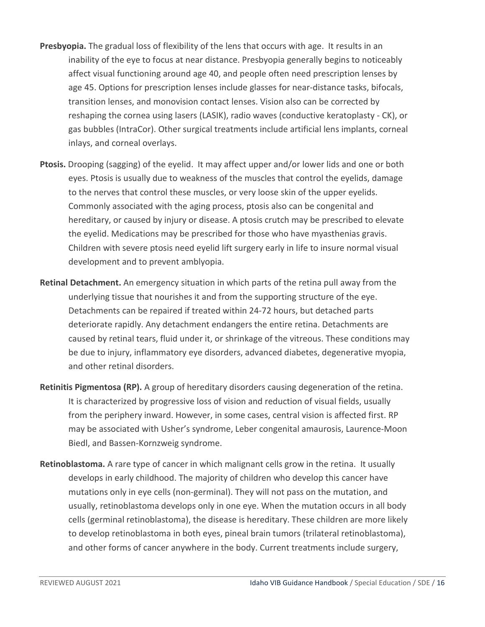- **Presbyopia.** The gradual loss of flexibility of the lens that occurs with age. It results in an inability of the eye to focus at near distance. Presbyopia generally begins to noticeably affect visual functioning around age 40, and people often need prescription lenses by age 45. Options for prescription lenses include glasses for near-distance tasks, bifocals, transition lenses, and monovision contact lenses. Vision also can be corrected by reshaping the cornea using lasers (LASIK), radio waves (conductive keratoplasty - CK), or gas bubbles (IntraCor). Other surgical treatments include artificial lens implants, corneal inlays, and corneal overlays.
- **Ptosis.** Drooping (sagging) of the eyelid. It may affect upper and/or lower lids and one or both eyes. Ptosis is usually due to weakness of the muscles that control the eyelids, damage to the nerves that control these muscles, or very loose skin of the upper eyelids. Commonly associated with the aging process, ptosis also can be congenital and hereditary, or caused by injury or disease. A ptosis crutch may be prescribed to elevate the eyelid. Medications may be prescribed for those who have myasthenias gravis. Children with severe ptosis need eyelid lift surgery early in life to insure normal visual development and to prevent amblyopia.
- **Retinal Detachment.** An emergency situation in which parts of the retina pull away from the underlying tissue that nourishes it and from the supporting structure of the eye. Detachments can be repaired if treated within 24-72 hours, but detached parts deteriorate rapidly. Any detachment endangers the entire retina. Detachments are caused by retinal tears, fluid under it, or shrinkage of the vitreous. These conditions may be due to injury, inflammatory eye disorders, advanced diabetes, degenerative myopia, and other retinal disorders.
- **Retinitis Pigmentosa (RP).** A group of hereditary disorders causing degeneration of the retina. It is characterized by progressive loss of vision and reduction of visual fields, usually from the periphery inward. However, in some cases, central vision is affected first. RP may be associated with Usher's syndrome, Leber congenital amaurosis, Laurence-Moon Biedl, and Bassen-Kornzweig syndrome.
- **Retinoblastoma.** A rare type of cancer in which malignant cells grow in the retina. It usually develops in early childhood. The majority of children who develop this cancer have mutations only in eye cells (non-germinal). They will not pass on the mutation, and usually, retinoblastoma develops only in one eye. When the mutation occurs in all body cells (germinal retinoblastoma), the disease is hereditary. These children are more likely to develop retinoblastoma in both eyes, pineal brain tumors (trilateral retinoblastoma), and other forms of cancer anywhere in the body. Current treatments include surgery,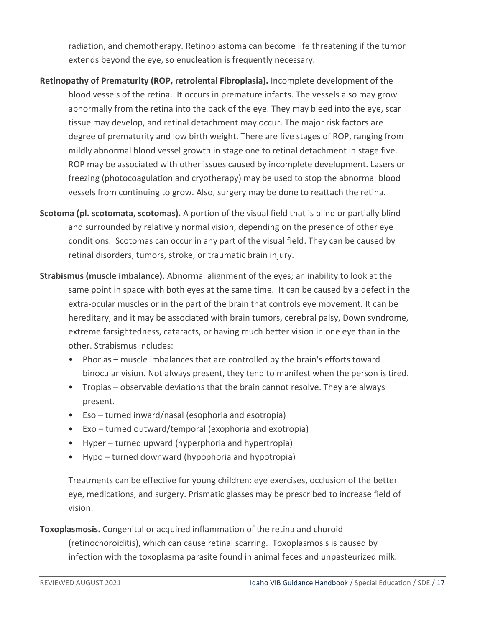radiation, and chemotherapy. Retinoblastoma can become life threatening if the tumor extends beyond the eye, so enucleation is frequently necessary.

- **Retinopathy of Prematurity (ROP, retrolental Fibroplasia).** Incomplete development of the blood vessels of the retina. It occurs in premature infants. The vessels also may grow abnormally from the retina into the back of the eye. They may bleed into the eye, scar tissue may develop, and retinal detachment may occur. The major risk factors are degree of prematurity and low birth weight. There are five stages of ROP, ranging from mildly abnormal blood vessel growth in stage one to retinal detachment in stage five. ROP may be associated with other issues caused by incomplete development. Lasers or freezing (photocoagulation and cryotherapy) may be used to stop the abnormal blood vessels from continuing to grow. Also, surgery may be done to reattach the retina.
- **Scotoma (pl. scotomata, scotomas).** A portion of the visual field that is blind or partially blind and surrounded by relatively normal vision, depending on the presence of other eye conditions. Scotomas can occur in any part of the visual field. They can be caused by retinal disorders, tumors, stroke, or traumatic brain injury.
- **Strabismus (muscle imbalance).** Abnormal alignment of the eyes; an inability to look at the same point in space with both eyes at the same time. It can be caused by a defect in the extra-ocular muscles or in the part of the brain that controls eye movement. It can be hereditary, and it may be associated with brain tumors, cerebral palsy, Down syndrome, extreme farsightedness, cataracts, or having much better vision in one eye than in the other. Strabismus includes:
	- Phorias muscle imbalances that are controlled by the brain's efforts toward binocular vision. Not always present, they tend to manifest when the person is tired.
	- Tropias observable deviations that the brain cannot resolve. They are always present.
	- Eso turned inward/nasal (esophoria and esotropia)
	- Exo turned outward/temporal (exophoria and exotropia)
	- Hyper turned upward (hyperphoria and hypertropia)
	- Hypo turned downward (hypophoria and hypotropia)

Treatments can be effective for young children: eye exercises, occlusion of the better eye, medications, and surgery. Prismatic glasses may be prescribed to increase field of vision.

# **Toxoplasmosis.** Congenital or acquired inflammation of the retina and choroid (retinochoroiditis), which can cause retinal scarring. Toxoplasmosis is caused by infection with the toxoplasma parasite found in animal feces and unpasteurized milk.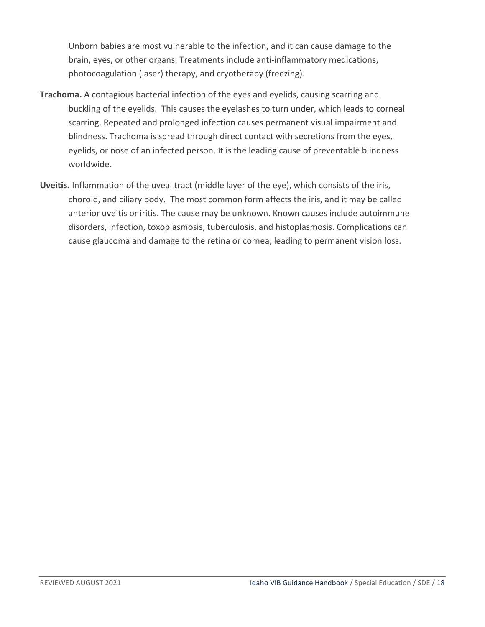Unborn babies are most vulnerable to the infection, and it can cause damage to the brain, eyes, or other organs. Treatments include anti-inflammatory medications, photocoagulation (laser) therapy, and cryotherapy (freezing).

- **Trachoma.** A contagious bacterial infection of the eyes and eyelids, causing scarring and buckling of the eyelids. This causes the eyelashes to turn under, which leads to corneal scarring. Repeated and prolonged infection causes permanent visual impairment and blindness. Trachoma is spread through direct contact with secretions from the eyes, eyelids, or nose of an infected person. It is the leading cause of preventable blindness worldwide.
- **Uveitis.** Inflammation of the uveal tract (middle layer of the eye), which consists of the iris, choroid, and ciliary body. The most common form affects the iris, and it may be called anterior uveitis or iritis. The cause may be unknown. Known causes include autoimmune disorders, infection, toxoplasmosis, tuberculosis, and histoplasmosis. Complications can cause glaucoma and damage to the retina or cornea, leading to permanent vision loss.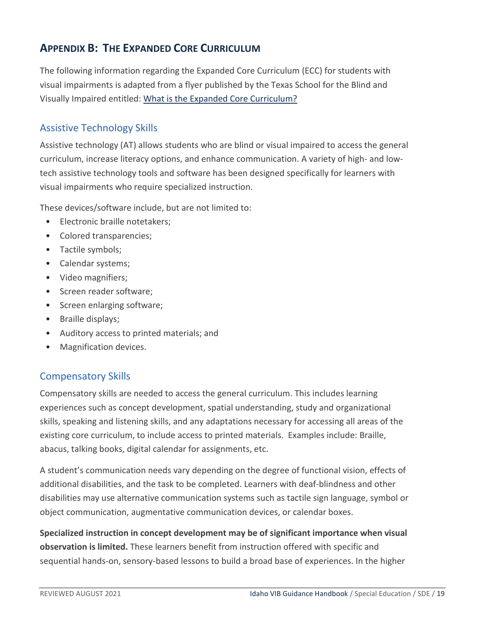# <span id="page-18-0"></span>**APPENDIX B: THE EXPANDED CORE CURRICULUM**

The following information regarding the Expanded Core Curriculum (ECC) for students with visual impairments is adapted from a flyer published by the Texas School for the Blind and Visually Impaired entitled: [What is the Expanded Core Curriculum?](https://www.tsbvi.edu/math/3973-ecc-flyer) 

#### <span id="page-18-1"></span>Assistive Technology Skills

Assistive technology (AT) allows students who are blind or visual impaired to access the general curriculum, increase literacy options, and enhance communication. A variety of high- and lowtech assistive technology tools and software has been designed specifically for learners with visual impairments who require specialized instruction.

These devices/software include, but are not limited to:

- Electronic braille notetakers;
- Colored transparencies;
- Tactile symbols;
- Calendar systems;
- Video magnifiers;
- Screen reader software;
- Screen enlarging software;
- Braille displays;
- Auditory access to printed materials; and
- Magnification devices.

#### <span id="page-18-2"></span>Compensatory Skills

Compensatory skills are needed to access the general curriculum. This includes learning experiences such as concept development, spatial understanding, study and organizational skills, speaking and listening skills, and any adaptations necessary for accessing all areas of the existing core curriculum, to include access to printed materials. Examples include: Braille, abacus, talking books, digital calendar for assignments, etc.

A student's communication needs vary depending on the degree of functional vision, effects of additional disabilities, and the task to be completed. Learners with deaf-blindness and other disabilities may use alternative communication systems such as tactile sign language, symbol or object communication, augmentative communication devices, or calendar boxes.

**Specialized instruction in concept development may be of significant importance when visual observation is limited.** These learners benefit from instruction offered with specific and sequential hands-on, sensory-based lessons to build a broad base of experiences. In the higher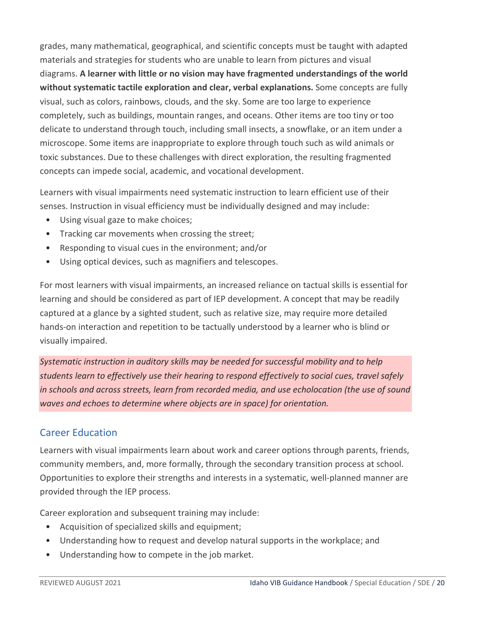grades, many mathematical, geographical, and scientific concepts must be taught with adapted materials and strategies for students who are unable to learn from pictures and visual diagrams. **A learner with little or no vision may have fragmented understandings of the world without systematic tactile exploration and clear, verbal explanations.** Some concepts are fully visual, such as colors, rainbows, clouds, and the sky. Some are too large to experience completely, such as buildings, mountain ranges, and oceans. Other items are too tiny or too delicate to understand through touch, including small insects, a snowflake, or an item under a microscope. Some items are inappropriate to explore through touch such as wild animals or toxic substances. Due to these challenges with direct exploration, the resulting fragmented concepts can impede social, academic, and vocational development.

Learners with visual impairments need systematic instruction to learn efficient use of their senses. Instruction in visual efficiency must be individually designed and may include:

- Using visual gaze to make choices;
- Tracking car movements when crossing the street;
- Responding to visual cues in the environment; and/or
- Using optical devices, such as magnifiers and telescopes.

For most learners with visual impairments, an increased reliance on tactual skills is essential for learning and should be considered as part of IEP development. A concept that may be readily captured at a glance by a sighted student, such as relative size, may require more detailed hands-on interaction and repetition to be tactually understood by a learner who is blind or visually impaired.

*Systematic instruction in auditory skills may be needed for successful mobility and to help students learn to effectively use their hearing to respond effectively to social cues, travel safely in schools and across streets, learn from recorded media, and use echolocation (the use of sound waves and echoes to determine where objects are in space) for orientation.*

#### <span id="page-19-0"></span>Career Education

Learners with visual impairments learn about work and career options through parents, friends, community members, and, more formally, through the secondary transition process at school. Opportunities to explore their strengths and interests in a systematic, well-planned manner are provided through the IEP process.

Career exploration and subsequent training may include:

- Acquisition of specialized skills and equipment;
- Understanding how to request and develop natural supports in the workplace; and
- Understanding how to compete in the job market.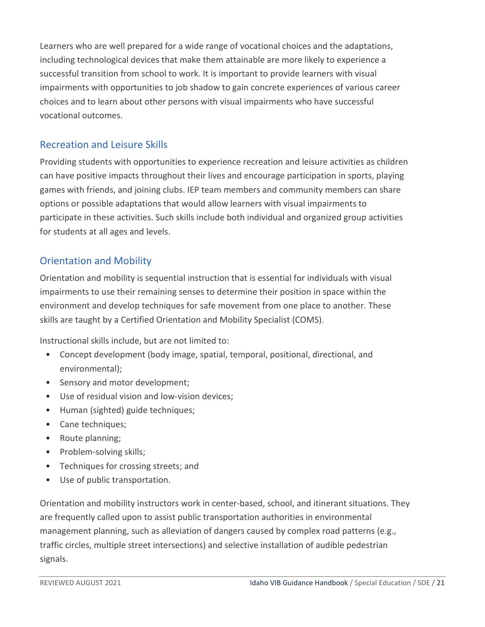Learners who are well prepared for a wide range of vocational choices and the adaptations, including technological devices that make them attainable are more likely to experience a successful transition from school to work. It is important to provide learners with visual impairments with opportunities to job shadow to gain concrete experiences of various career choices and to learn about other persons with visual impairments who have successful vocational outcomes.

### <span id="page-20-0"></span>Recreation and Leisure Skills

Providing students with opportunities to experience recreation and leisure activities as children can have positive impacts throughout their lives and encourage participation in sports, playing games with friends, and joining clubs. IEP team members and community members can share options or possible adaptations that would allow learners with visual impairments to participate in these activities. Such skills include both individual and organized group activities for students at all ages and levels.

#### <span id="page-20-1"></span>Orientation and Mobility

Orientation and mobility is sequential instruction that is essential for individuals with visual impairments to use their remaining senses to determine their position in space within the environment and develop techniques for safe movement from one place to another. These skills are taught by a Certified Orientation and Mobility Specialist (COMS).

Instructional skills include, but are not limited to:

- Concept development (body image, spatial, temporal, positional, directional, and environmental);
- Sensory and motor development;
- Use of residual vision and low-vision devices;
- Human (sighted) guide techniques;
- Cane techniques;
- Route planning;
- Problem-solving skills;
- Techniques for crossing streets; and
- Use of public transportation.

Orientation and mobility instructors work in center-based, school, and itinerant situations. They are frequently called upon to assist public transportation authorities in environmental management planning, such as alleviation of dangers caused by complex road patterns (e.g., traffic circles, multiple street intersections) and selective installation of audible pedestrian signals.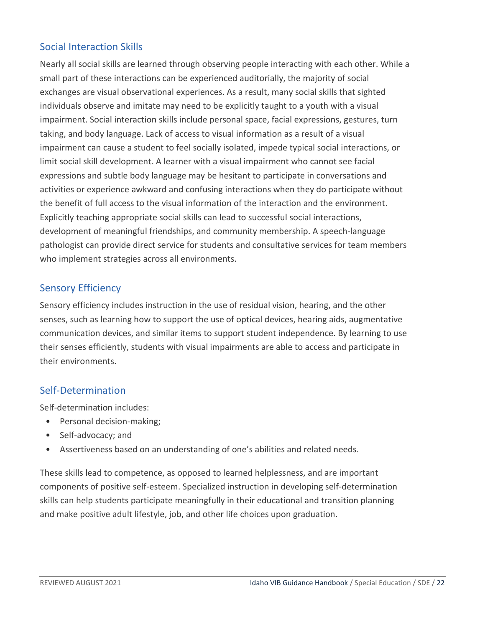# <span id="page-21-0"></span>Social Interaction Skills

Nearly all social skills are learned through observing people interacting with each other. While a small part of these interactions can be experienced auditorially, the majority of social exchanges are visual observational experiences. As a result, many social skills that sighted individuals observe and imitate may need to be explicitly taught to a youth with a visual impairment. Social interaction skills include personal space, facial expressions, gestures, turn taking, and body language. Lack of access to visual information as a result of a visual impairment can cause a student to feel socially isolated, impede typical social interactions, or limit social skill development. A learner with a visual impairment who cannot see facial expressions and subtle body language may be hesitant to participate in conversations and activities or experience awkward and confusing interactions when they do participate without the benefit of full access to the visual information of the interaction and the environment. Explicitly teaching appropriate social skills can lead to successful social interactions, development of meaningful friendships, and community membership. A speech-language pathologist can provide direct service for students and consultative services for team members who implement strategies across all environments.

# <span id="page-21-1"></span>Sensory Efficiency

Sensory efficiency includes instruction in the use of residual vision, hearing, and the other senses, such as learning how to support the use of optical devices, hearing aids, augmentative communication devices, and similar items to support student independence. By learning to use their senses efficiently, students with visual impairments are able to access and participate in their environments.

#### <span id="page-21-2"></span>Self-Determination

Self-determination includes:

- Personal decision-making;
- Self-advocacy; and
- Assertiveness based on an understanding of one's abilities and related needs.

These skills lead to competence, as opposed to learned helplessness, and are important components of positive self-esteem. Specialized instruction in developing self-determination skills can help students participate meaningfully in their educational and transition planning and make positive adult lifestyle, job, and other life choices upon graduation.